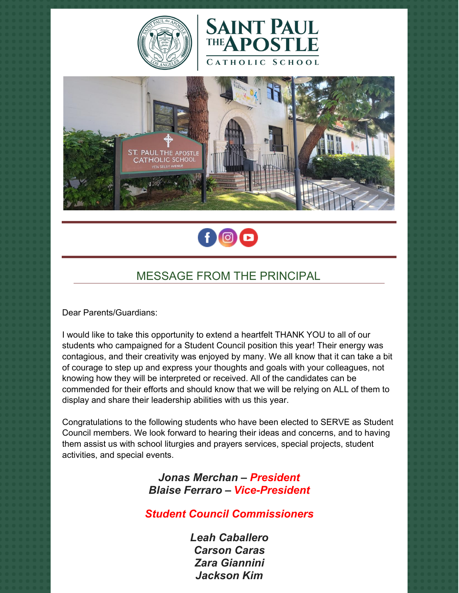







# MESSAGE FROM THE PRINCIPAL

Dear Parents/Guardians:

I would like to take this opportunity to extend a heartfelt THANK YOU to all of our students who campaigned for a Student Council position this year! Their energy was contagious, and their creativity was enjoyed by many. We all know that it can take a bit of courage to step up and express your thoughts and goals with your colleagues, not knowing how they will be interpreted or received. All of the candidates can be commended for their efforts and should know that we will be relying on ALL of them to display and share their leadership abilities with us this year.

Congratulations to the following students who have been elected to SERVE as Student Council members. We look forward to hearing their ideas and concerns, and to having them assist us with school liturgies and prayers services, special projects, student activities, and special events.

> *Jonas Merchan – President Blaise Ferraro – Vice-President*

*Student Council Commissioners*

*Leah Caballero Carson Caras Zara Giannini Jackson Kim*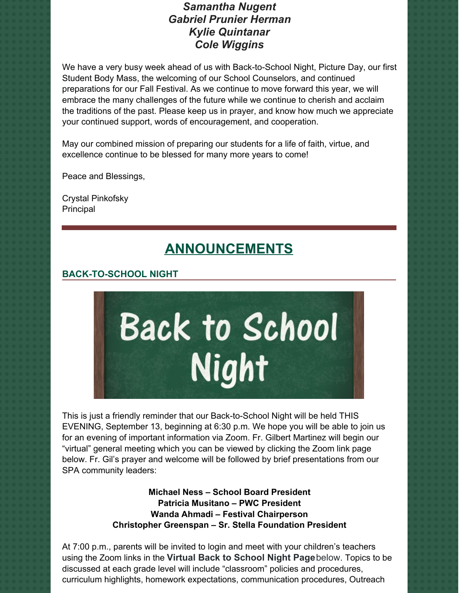# *Samantha Nugent Gabriel Prunier Herman Kylie Quintanar Cole Wiggins*

We have a very busy week ahead of us with Back-to-School Night, Picture Day, our first Student Body Mass, the welcoming of our School Counselors, and continued preparations for our Fall Festival. As we continue to move forward this year, we will embrace the many challenges of the future while we continue to cherish and acclaim the traditions of the past. Please keep us in prayer, and know how much we appreciate your continued support, words of encouragement, and cooperation.

May our combined mission of preparing our students for a life of faith, virtue, and excellence continue to be blessed for many more years to come!

Peace and Blessings,

Crystal Pinkofsky Principal

# **ANNOUNCEMENTS**

# **BACK-TO-SCHOOL NIGHT**



This is just a friendly reminder that our Back-to-School Night will be held THIS EVENING, September 13, beginning at 6:30 p.m. We hope you will be able to join us for an evening of important information via Zoom. Fr. Gilbert Martinez will begin our "virtual" general meeting which you can be viewed by clicking the Zoom link page below. Fr. Gil's prayer and welcome will be followed by brief presentations from our SPA community leaders:

> **Michael Ness – School Board President Patricia Musitano – PWC President Wanda Ahmadi – Festival Chairperson Christopher Greenspan – Sr. Stella Foundation President**

At 7:00 p.m., parents will be invited to login and meet with your children's teachers using the Zoom links in the **Virtual Back to School Night Page**below. Topics to be discussed at each grade level will include "classroom" policies and procedures, curriculum highlights, homework expectations, communication procedures, Outreach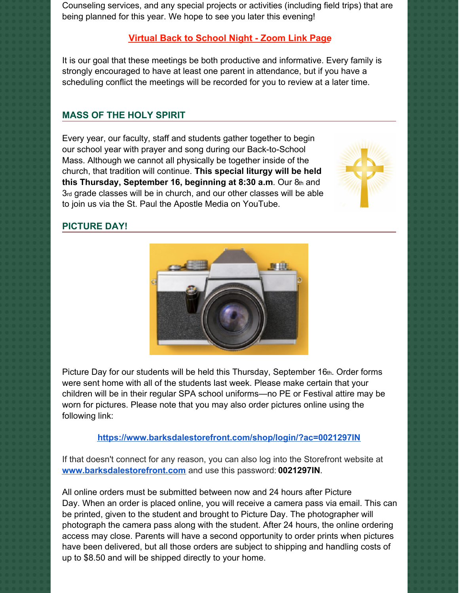Counseling services, and any special projects or activities (including field trips) that are being planned for this year. We hope to see you later this evening!

# **Virtual Back to [School](https://school.sp-apostle.org/2021-back-to-school-night-zoom-links) Night - Zoom Link Page**

It is our goal that these meetings be both productive and informative. Every family is strongly encouraged to have at least one parent in attendance, but if you have a scheduling conflict the meetings will be recorded for you to review at a later time.

## **MASS OF THE HOLY SPIRIT**

Every year, our faculty, staff and students gather together to begin our school year with prayer and song during our Back-to-School Mass. Although we cannot all physically be together inside of the church, that tradition will continue. **This special liturgy will be held this Thursday, September 16, beginning at 8:30 a.m.** Our 8th and 3rd grade classes will be in church, and our other classes will be able to join us via the St. Paul the Apostle Media on YouTube.



### **PICTURE DAY!**



Picture Day for our students will be held this Thursday, September 16th. Order forms were sent home with all of the students last week. Please make certain that your children will be in their regular SPA school uniforms—no PE or Festival attire may be worn for pictures. Please note that you may also order pictures online using the following link:

#### **<https://www.barksdalestorefront.com/shop/login/?ac=0021297IN>**

If that doesn't connect for any reason, you can also log into the Storefront website at **[www.barksdalestorefront.com](http://www.barksdalestorefront.com/)** and use this password: **0021297IN**.

All online orders must be submitted between now and 24 hours after Picture Day. When an order is placed online, you will receive a camera pass via email. This can be printed, given to the student and brought to Picture Day. The photographer will photograph the camera pass along with the student. After 24 hours, the online ordering access may close. Parents will have a second opportunity to order prints when pictures have been delivered, but all those orders are subject to shipping and handling costs of up to \$8.50 and will be shipped directly to your home.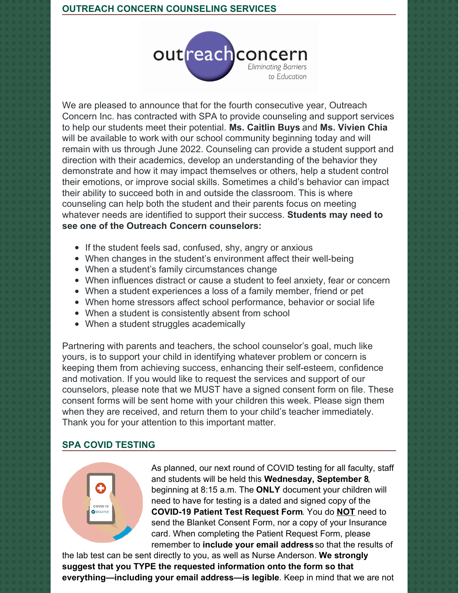

We are pleased to announce that for the fourth consecutive year, Outreach Concern Inc. has contracted with SPA to provide counseling and support services to help our students meet their potential. **Ms. Caitlin Buys** and **Ms. Vivien Chia** will be available to work with our school community beginning today and will remain with us through June 2022. Counseling can provide a student support and direction with their academics, develop an understanding of the behavior they demonstrate and how it may impact themselves or others, help a student control their emotions, or improve social skills. Sometimes a child's behavior can impact their ability to succeed both in and outside the classroom. This is where counseling can help both the student and their parents focus on meeting whatever needs are identified to support their success. **Students may need to see one of the Outreach Concern counselors:**

- If the student feels sad, confused, shy, angry or anxious
- When changes in the student's environment affect their well-being
- When a student's family circumstances change
- When influences distract or cause a student to feel anxiety, fear or concern
- When a student experiences a loss of a family member, friend or pet
- When home stressors affect school performance, behavior or social life
- When a student is consistently absent from school
- When a student struggles academically

Partnering with parents and teachers, the school counselor's goal, much like yours, is to support your child in identifying whatever problem or concern is keeping them from achieving success, enhancing their self-esteem, confidence and motivation. If you would like to request the services and support of our counselors, please note that we MUST have a signed consent form on file. These consent forms will be sent home with your children this week. Please sign them when they are received, and return them to your child's teacher immediately. Thank you for your attention to this important matter.

# **SPA COVID TESTING**



As planned, our next round of COVID testing for all faculty, staff and students will be held this **Wednesday, September 8**, beginning at 8:15 a.m. The **ONLY** document your children will need to have for testing is a dated and signed copy of the **COVID-19 Patient Test Request Form**. You do **NOT** need to send the Blanket Consent Form, nor a copy of your Insurance card. When completing the Patient Request Form, please remember to **include your email address** so that the results of

the lab test can be sent directly to you, as well as Nurse Anderson. **We strongly suggest that you TYPE the requested information onto the form so that everything—including your email address—is legible**. Keep in mind that we are not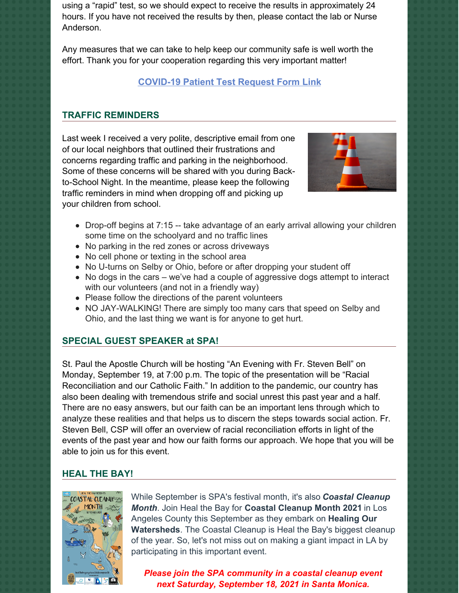using a "rapid" test, so we should expect to receive the results in approximately 24 hours. If you have not received the results by then, please contact the lab or Nurse Anderson.

Any measures that we can take to help keep our community safe is well worth the effort. Thank you for your cooperation regarding this very important matter!

# **[COVID-19](https://school.sp-apostle.org/wp-content/uploads/2021/08/PATIENT-REQ-FORM-7-15-21.pdf) Patient Test Request Form Link**

## **TRAFFIC REMINDERS**

Last week I received a very polite, descriptive email from one of our local neighbors that outlined their frustrations and concerns regarding traffic and parking in the neighborhood. Some of these concerns will be shared with you during Backto-School Night. In the meantime, please keep the following traffic reminders in mind when dropping off and picking up your children from school.



- Drop-off begins at 7:15 -- take advantage of an early arrival allowing your children some time on the schoolyard and no traffic lines
- No parking in the red zones or across driveways
- No cell phone or texting in the school area
- No U-turns on Selby or Ohio, before or after dropping your student off
- $\bullet$  No dogs in the cars we've had a couple of aggressive dogs attempt to interact with our volunteers (and not in a friendly way)
- Please follow the directions of the parent volunteers
- NO JAY-WALKING! There are simply too many cars that speed on Selby and Ohio, and the last thing we want is for anyone to get hurt.

## **SPECIAL GUEST SPEAKER at SPA!**

St. Paul the Apostle Church will be hosting "An Evening with Fr. Steven Bell" on Monday, September 19, at 7:00 p.m. The topic of the presentation will be "Racial Reconciliation and our Catholic Faith." In addition to the pandemic, our country has also been dealing with tremendous strife and social unrest this past year and a half. There are no easy answers, but our faith can be an important lens through which to analyze these realities and that helps us to discern the steps towards social action. Fr. Steven Bell, CSP will offer an overview of racial reconciliation efforts in light of the events of the past year and how our faith forms our approach. We hope that you will be able to join us for this event.

## **HEAL THE BAY!**



While September is SPA's festival month, it's also *Coastal Cleanup Month*. Join Heal the Bay for **Coastal Cleanup Month 2021** in Los Angeles County this September as they embark on **Healing Our Watersheds**. The Coastal Cleanup is Heal the Bay's biggest cleanup of the year. So, let's not miss out on making a giant impact in LA by participating in this important event.

*Please join the SPA community in a coastal cleanup event next Saturday, September 18, 2021 in Santa Monica.*